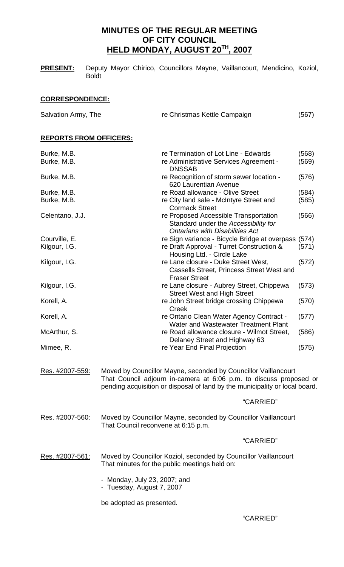# **MINUTES OF THE REGULAR MEETING OF CITY COUNCIL HELD MONDAY, AUGUST 20TH, 2007**

| <b>PRESENT:</b> | Deputy Mayor Chirico, Councillors Mayne, Vaillancourt, Mendicino, Koziol, |  |  |  |
|-----------------|---------------------------------------------------------------------------|--|--|--|
|                 | <b>Boldt</b>                                                              |  |  |  |

# **CORRESPONDENCE:**

| Salvation Army, The            |                                                                                                                                                                                                                     | re Christmas Kettle Campaign |                |  |  |  |
|--------------------------------|---------------------------------------------------------------------------------------------------------------------------------------------------------------------------------------------------------------------|------------------------------|----------------|--|--|--|
| <b>REPORTS FROM OFFICERS:</b>  |                                                                                                                                                                                                                     |                              |                |  |  |  |
| Burke, M.B.<br>Burke, M.B.     | re Termination of Lot Line - Edwards<br>re Administrative Services Agreement -<br><b>DNSSAB</b>                                                                                                                     |                              | (568)<br>(569) |  |  |  |
| Burke, M.B.                    | re Recognition of storm sewer location -<br>620 Laurentian Avenue                                                                                                                                                   |                              | (576)          |  |  |  |
| Burke, M.B.<br>Burke, M.B.     | re Road allowance - Olive Street<br>re City land sale - McIntyre Street and<br><b>Cormack Street</b>                                                                                                                |                              | (584)<br>(585) |  |  |  |
| Celentano, J.J.                | re Proposed Accessible Transportation<br>Standard under the Accessibility for<br><b>Ontarians with Disabilities Act</b>                                                                                             |                              | (566)          |  |  |  |
| Courville, E.<br>Kilgour, I.G. | re Sign variance - Bicycle Bridge at overpass (574)<br>re Draft Approval - Turret Construction &<br>Housing Ltd. - Circle Lake                                                                                      |                              | (571)          |  |  |  |
| Kilgour, I.G.                  | re Lane closure - Duke Street West,<br><b>Cassells Street, Princess Street West and</b><br><b>Fraser Street</b>                                                                                                     |                              | (572)          |  |  |  |
| Kilgour, I.G.                  | re Lane closure - Aubrey Street, Chippewa<br><b>Street West and High Street</b>                                                                                                                                     |                              | (573)          |  |  |  |
| Korell, A.                     | re John Street bridge crossing Chippewa<br>Creek                                                                                                                                                                    |                              | (570)          |  |  |  |
| Korell, A.                     | re Ontario Clean Water Agency Contract -<br>Water and Wastewater Treatment Plant                                                                                                                                    |                              | (577)          |  |  |  |
| McArthur, S.                   | re Road allowance closure - Wilmot Street,<br>Delaney Street and Highway 63                                                                                                                                         |                              | (586)          |  |  |  |
| Mimee, R.                      | re Year End Final Projection                                                                                                                                                                                        |                              | (575)          |  |  |  |
| Res. #2007-559:                | Moved by Councillor Mayne, seconded by Councillor Vaillancourt<br>That Council adjourn in-camera at 6:06 p.m. to discuss proposed or<br>pending acquisition or disposal of land by the municipality or local board. |                              |                |  |  |  |
|                                |                                                                                                                                                                                                                     | "CARRIED"                    |                |  |  |  |
| Res. #2007-560:                | Moved by Councillor Mayne, seconded by Councillor Vaillancourt<br>That Council reconvene at 6:15 p.m.                                                                                                               |                              |                |  |  |  |
|                                |                                                                                                                                                                                                                     | "CARRIED"                    |                |  |  |  |
| Res. #2007-561:                | Moved by Councillor Koziol, seconded by Councillor Vaillancourt<br>That minutes for the public meetings held on:                                                                                                    |                              |                |  |  |  |
|                                | - Monday, July 23, 2007; and<br>- Tuesday, August 7, 2007                                                                                                                                                           |                              |                |  |  |  |
|                                |                                                                                                                                                                                                                     |                              |                |  |  |  |

be adopted as presented.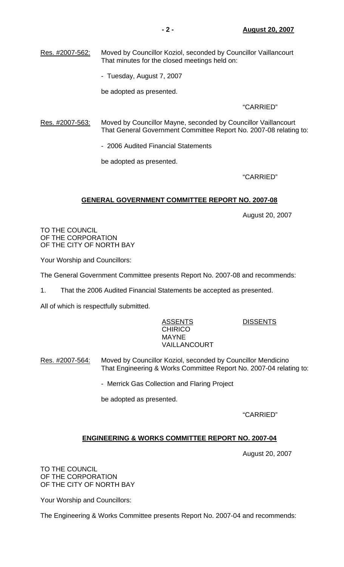Res. #2007-562: Moved by Councillor Koziol, seconded by Councillor Vaillancourt That minutes for the closed meetings held on:

- Tuesday, August 7, 2007

be adopted as presented.

# "CARRIED"

Res. #2007-563: Moved by Councillor Mayne, seconded by Councillor Vaillancourt That General Government Committee Report No. 2007-08 relating to:

- 2006 Audited Financial Statements

be adopted as presented.

# "CARRIED"

# **GENERAL GOVERNMENT COMMITTEE REPORT NO. 2007-08**

August 20, 2007

TO THE COUNCIL OF THE CORPORATION OF THE CITY OF NORTH BAY

Your Worship and Councillors:

The General Government Committee presents Report No. 2007-08 and recommends:

1. That the 2006 Audited Financial Statements be accepted as presented.

All of which is respectfully submitted.

# ASSENT<u>S</u> DISSENTS **CHIRICO**  MAYNE VAILLANCOURT

- Res. #2007-564: Moved by Councillor Koziol, seconded by Councillor Mendicino That Engineering & Works Committee Report No. 2007-04 relating to:
	- Merrick Gas Collection and Flaring Project

be adopted as presented.

"CARRIED"

# **ENGINEERING & WORKS COMMITTEE REPORT NO. 2007-04**

August 20, 2007

TO THE COUNCIL OF THE CORPORATION OF THE CITY OF NORTH BAY

Your Worship and Councillors:

The Engineering & Works Committee presents Report No. 2007-04 and recommends: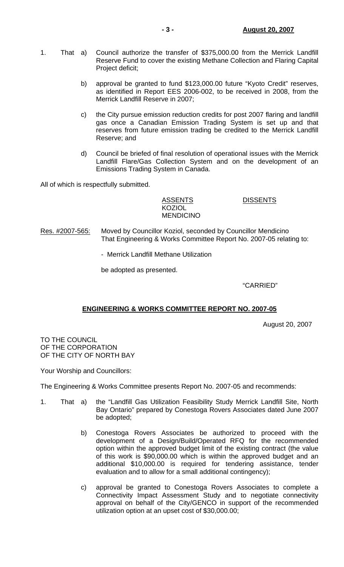- 1. That a) Council authorize the transfer of \$375,000.00 from the Merrick Landfill Reserve Fund to cover the existing Methane Collection and Flaring Capital Project deficit;
	- b) approval be granted to fund \$123,000.00 future "Kyoto Credit" reserves, as identified in Report EES 2006-002, to be received in 2008, from the Merrick Landfill Reserve in 2007;
	- c) the City pursue emission reduction credits for post 2007 flaring and landfill gas once a Canadian Emission Trading System is set up and that reserves from future emission trading be credited to the Merrick Landfill Reserve; and
	- d) Council be briefed of final resolution of operational issues with the Merrick Landfill Flare/Gas Collection System and on the development of an Emissions Trading System in Canada.

All of which is respectfully submitted.

KOZIOL

MENDICINO

ASSENTS DISSENTS

Res. #2007-565: Moved by Councillor Koziol, seconded by Councillor Mendicino That Engineering & Works Committee Report No. 2007-05 relating to:

- Merrick Landfill Methane Utilization

be adopted as presented.

"CARRIED"

# **ENGINEERING & WORKS COMMITTEE REPORT NO. 2007-05**

August 20, 2007

TO THE COUNCIL OF THE CORPORATION OF THE CITY OF NORTH BAY

Your Worship and Councillors:

The Engineering & Works Committee presents Report No. 2007-05 and recommends:

- 1. That a) the "Landfill Gas Utilization Feasibility Study Merrick Landfill Site, North Bay Ontario" prepared by Conestoga Rovers Associates dated June 2007 be adopted;
	- b) Conestoga Rovers Associates be authorized to proceed with the development of a Design/Build/Operated RFQ for the recommended option within the approved budget limit of the existing contract (the value of this work is \$90,000.00 which is within the approved budget and an additional \$10,000.00 is required for tendering assistance, tender evaluation and to allow for a small additional contingency);
	- c) approval be granted to Conestoga Rovers Associates to complete a Connectivity Impact Assessment Study and to negotiate connectivity approval on behalf of the City/GENCO in support of the recommended utilization option at an upset cost of \$30,000.00;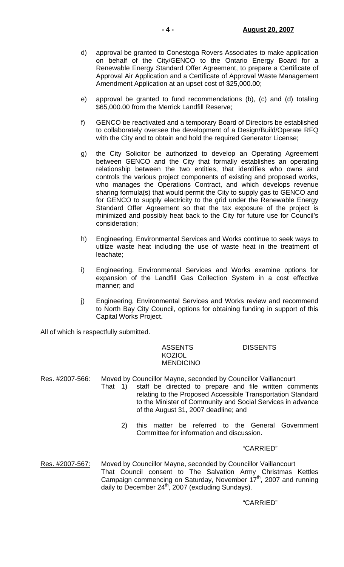- d) approval be granted to Conestoga Rovers Associates to make application on behalf of the City/GENCO to the Ontario Energy Board for a Renewable Energy Standard Offer Agreement, to prepare a Certificate of Approval Air Application and a Certificate of Approval Waste Management Amendment Application at an upset cost of \$25,000.00;
- e) approval be granted to fund recommendations (b), (c) and (d) totaling \$65,000.00 from the Merrick Landfill Reserve;
- f) GENCO be reactivated and a temporary Board of Directors be established to collaborately oversee the development of a Design/Build/Operate RFQ with the City and to obtain and hold the required Generator License;
- g) the City Solicitor be authorized to develop an Operating Agreement between GENCO and the City that formally establishes an operating relationship between the two entities, that identifies who owns and controls the various project components of existing and proposed works, who manages the Operations Contract, and which develops revenue sharing formula(s) that would permit the City to supply gas to GENCO and for GENCO to supply electricity to the grid under the Renewable Energy Standard Offer Agreement so that the tax exposure of the project is minimized and possibly heat back to the City for future use for Council's consideration;
- h) Engineering, Environmental Services and Works continue to seek ways to utilize waste heat including the use of waste heat in the treatment of leachate;
- i) Engineering, Environmental Services and Works examine options for expansion of the Landfill Gas Collection System in a cost effective manner; and
- j) Engineering, Environmental Services and Works review and recommend to North Bay City Council, options for obtaining funding in support of this Capital Works Project.

All of which is respectfully submitted.

# ASSENTS DISSENTS **KOZIOL** MENDICINO

Res. #2007-566: Moved by Councillor Mayne, seconded by Councillor Vaillancourt That 1) staff be directed to prepare and file written comments

- relating to the Proposed Accessible Transportation Standard to the Minister of Community and Social Services in advance of the August 31, 2007 deadline; and
	- 2) this matter be referred to the General Government Committee for information and discussion.

# "CARRIED"

Res. #2007-567: Moved by Councillor Mayne, seconded by Councillor Vaillancourt That Council consent to The Salvation Army Christmas Kettles Campaign commencing on Saturday, November  $17<sup>th</sup>$ , 2007 and running bampaign commenting on batalacy, neverther a<br>daily to December 24<sup>th</sup>, 2007 (excluding Sundays).

# "CARRIED"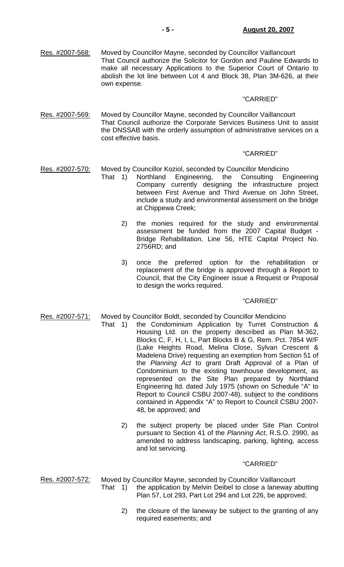Res. #2007-568: Moved by Councillor Mayne, seconded by Councillor Vaillancourt That Council authorize the Solicitor for Gordon and Pauline Edwards to make all necessary Applications to the Superior Court of Ontario to abolish the lot line between Lot 4 and Block 38, Plan 3M-626, at their own expense.

#### "CARRIED"

Res. #2007-569: Moved by Councillor Mayne, seconded by Councillor Vaillancourt That Council authorize the Corporate Services Business Unit to assist the DNSSAB with the orderly assumption of administrative services on a cost effective basis.

### "CARRIED"

- Res. #2007-570: Moved by Councillor Koziol, seconded by Councillor Mendicino
	- That 1) Northland Engineering, the Consulting Engineering Company currently designing the infrastructure project between First Avenue and Third Avenue on John Street, include a study and environmental assessment on the bridge at Chippewa Creek;
		- 2) the monies required for the study and environmental assessment be funded from the 2007 Capital Budget - Bridge Rehabilitation, Line 56, HTE Capital Project No. 2756RD; and
		- 3) once the preferred option for the rehabilitation or replacement of the bridge is approved through a Report to Council, that the City Engineer issue a Request or Proposal to design the works required.

#### "CARRIED"

- Res. #2007-571: Moved by Councillor Boldt, seconded by Councillor Mendicino
	- That 1) the Condominium Application by Turret Construction & Housing Ltd. on the property described as Plan M-362, Blocks C, F, H, I, L, Part Blocks B & G, Rem. Pct. 7854 W/F (Lake Heights Road, Melina Close, Sylvan Crescent & Madelena Drive) requesting an exemption from Section 51 of the *Planning Act* to grant Draft Approval of a Plan of Condominium to the existing townhouse development, as represented on the Site Plan prepared by Northland Engineering ltd. dated July 1975 (shown on Schedule "A" to Report to Council CSBU 2007-48), subject to the conditions contained in Appendix "A" to Report to Council CSBU 2007- 48, be approved; and
		- 2) the subject property be placed under Site Plan Control pursuant to Section 41 of the *Planning Act*, R.S.O. 2990, as amended to address landscaping, parking, lighting, access and lot servicing.

#### "CARRIED"

Res. #2007-572: Moved by Councillor Mayne, seconded by Councillor Vaillancourt

- That 1) the application by Melvin Deibel to close a laneway abutting Plan 57, Lot 293, Part Lot 294 and Lot 226, be approved;
	- 2) the closure of the laneway be subject to the granting of any required easements; and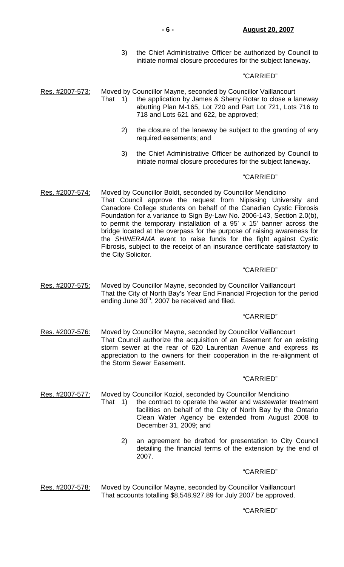3) the Chief Administrative Officer be authorized by Council to initiate normal closure procedures for the subject laneway.

### "CARRIED"

Res. #2007-573: Moved by Councillor Mayne, seconded by Councillor Vaillancourt

- That 1) the application by James & Sherry Rotar to close a laneway abutting Plan M-165, Lot 720 and Part Lot 721, Lots 716 to 718 and Lots 621 and 622, be approved;
	- 2) the closure of the laneway be subject to the granting of any required easements; and
	- 3) the Chief Administrative Officer be authorized by Council to initiate normal closure procedures for the subject laneway.

#### "CARRIED"

Res. #2007-574: Moved by Councillor Boldt, seconded by Councillor Mendicino That Council approve the request from Nipissing University and Canadore College students on behalf of the Canadian Cystic Fibrosis Foundation for a variance to Sign By-Law No. 2006-143, Section 2.0(b), to permit the temporary installation of a 95' x 15' banner across the bridge located at the overpass for the purpose of raising awareness for the *SHINERAMA* event to raise funds for the fight against Cystic Fibrosis, subject to the receipt of an insurance certificate satisfactory to the City Solicitor.

#### "CARRIED"

Res. #2007-575: Moved by Councillor Mayne, seconded by Councillor Vaillancourt That the City of North Bay's Year End Financial Projection for the period ending June 30<sup>th</sup>, 2007 be received and filed.

### "CARRIED"

Res. #2007-576: Moved by Councillor Mayne, seconded by Councillor Vaillancourt That Council authorize the acquisition of an Easement for an existing storm sewer at the rear of 620 Laurentian Avenue and express its appreciation to the owners for their cooperation in the re-alignment of the Storm Sewer Easement.

#### "CARRIED"

Res. #2007-577: Moved by Councillor Koziol, seconded by Councillor Mendicino

- That 1) the contract to operate the water and wastewater treatment facilities on behalf of the City of North Bay by the Ontario Clean Water Agency be extended from August 2008 to December 31, 2009; and
	- 2) an agreement be drafted for presentation to City Council detailing the financial terms of the extension by the end of 2007.

#### "CARRIED"

Res. #2007-578: Moved by Councillor Mayne, seconded by Councillor Vaillancourt That accounts totalling \$8,548,927.89 for July 2007 be approved.

### "CARRIED"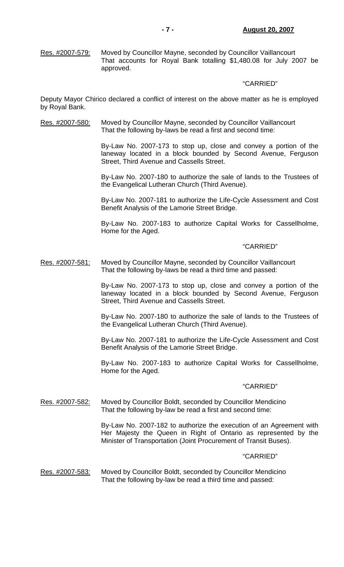Res. #2007-579: Moved by Councillor Mayne, seconded by Councillor Vaillancourt That accounts for Royal Bank totalling \$1,480.08 for July 2007 be approved.

### "CARRIED"

Deputy Mayor Chirico declared a conflict of interest on the above matter as he is employed by Royal Bank.

Res. #2007-580: Moved by Councillor Mayne, seconded by Councillor Vaillancourt That the following by-laws be read a first and second time:

> By-Law No. 2007-173 to stop up, close and convey a portion of the laneway located in a block bounded by Second Avenue, Ferguson Street, Third Avenue and Cassells Street.

> By-Law No. 2007-180 to authorize the sale of lands to the Trustees of the Evangelical Lutheran Church (Third Avenue).

> By-Law No. 2007-181 to authorize the Life-Cycle Assessment and Cost Benefit Analysis of the Lamorie Street Bridge.

> By-Law No. 2007-183 to authorize Capital Works for Cassellholme, Home for the Aged.

#### "CARRIED"

Res. #2007-581: Moved by Councillor Mayne, seconded by Councillor Vaillancourt That the following by-laws be read a third time and passed:

> By-Law No. 2007-173 to stop up, close and convey a portion of the laneway located in a block bounded by Second Avenue, Ferguson Street, Third Avenue and Cassells Street.

> By-Law No. 2007-180 to authorize the sale of lands to the Trustees of the Evangelical Lutheran Church (Third Avenue).

> By-Law No. 2007-181 to authorize the Life-Cycle Assessment and Cost Benefit Analysis of the Lamorie Street Bridge.

> By-Law No. 2007-183 to authorize Capital Works for Cassellholme, Home for the Aged.

#### "CARRIED"

Res. #2007-582: Moved by Councillor Boldt, seconded by Councillor Mendicino That the following by-law be read a first and second time:

> By-Law No. 2007-182 to authorize the execution of an Agreement with Her Majesty the Queen in Right of Ontario as represented by the Minister of Transportation (Joint Procurement of Transit Buses).

#### "CARRIED"

Res. #2007-583: Moved by Councillor Boldt, seconded by Councillor Mendicino That the following by-law be read a third time and passed: